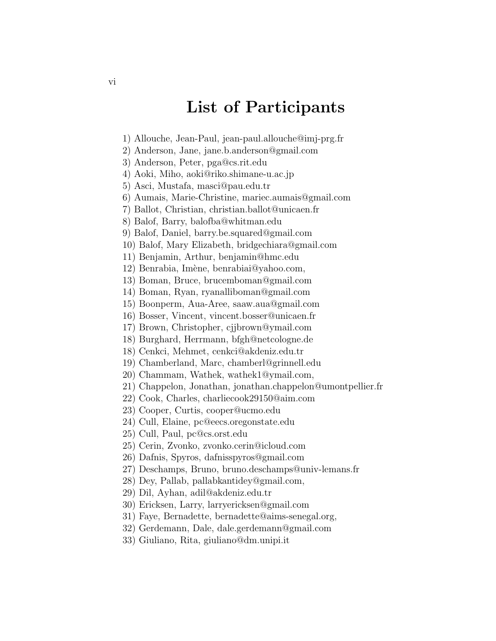## List of Participants

- 1) Allouche, Jean-Paul, jean-paul.allouche@imj-prg.fr
- 2) Anderson, Jane, jane.b.anderson@gmail.com
- 3) Anderson, Peter, pga@cs.rit.edu
- 4) Aoki, Miho, aoki@riko.shimane-u.ac.jp
- 5) Asci, Mustafa, masci@pau.edu.tr
- 6) Aumais, Marie-Christine, mariec.aumais@gmail.com
- 7) Ballot, Christian, christian.ballot@unicaen.fr
- 8) Balof, Barry, balofba@whitman.edu
- 9) Balof, Daniel, barry.be.squared@gmail.com
- 10) Balof, Mary Elizabeth, bridgechiara@gmail.com
- 11) Benjamin, Arthur, benjamin@hmc.edu
- 12) Benrabia, Imène, benrabiai@yahoo.com,
- 13) Boman, Bruce, brucemboman@gmail.com
- 14) Boman, Ryan, ryanalliboman@gmail.com
- 15) Boonperm, Aua-Aree, saaw.aua@gmail.com
- 16) Bosser, Vincent, vincent.bosser@unicaen.fr
- 17) Brown, Christopher, cjjbrown@ymail.com
- 18) Burghard, Herrmann, bfgh@netcologne.de
- 18) Cenkci, Mehmet, cenkci@akdeniz.edu.tr
- 19) Chamberland, Marc, chamberl@grinnell.edu
- 20) Chammam, Wathek, wathek1@ymail.com,
- 21) Chappelon, Jonathan, jonathan.chappelon@umontpellier.fr
- 22) Cook, Charles, charliecook29150@aim.com
- 23) Cooper, Curtis, cooper@ucmo.edu
- 24) Cull, Elaine, pc@eecs.oregonstate.edu
- 25) Cull, Paul, pc@cs.orst.edu
- 25) Cerin, Zvonko, zvonko.cerin@icloud.com
- 26) Dafnis, Spyros, dafnisspyros@gmail.com
- 27) Deschamps, Bruno, bruno.deschamps@univ-lemans.fr
- 28) Dey, Pallab, pallabkantidey@gmail.com,
- 29) Dil, Ayhan, adil@akdeniz.edu.tr
- 30) Ericksen, Larry, larryericksen@gmail.com
- 31) Faye, Bernadette, bernadette@aims-senegal.org,
- 32) Gerdemann, Dale, dale.gerdemann@gmail.com
- 33) Giuliano, Rita, giuliano@dm.unipi.it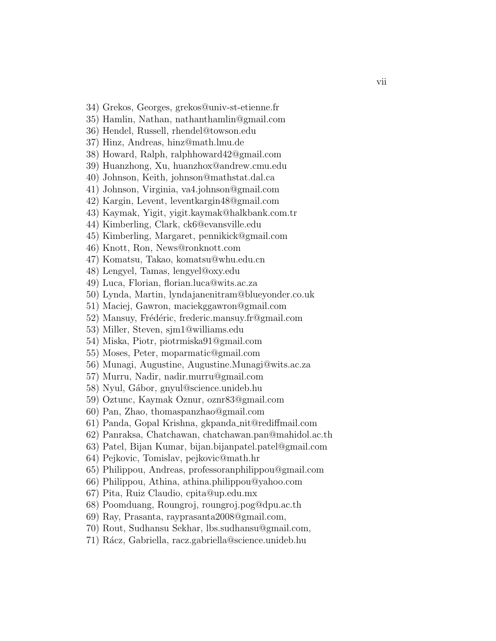- 34) Grekos, Georges, grekos@univ-st-etienne.fr
- 35) Hamlin, Nathan, nathanthamlin@gmail.com
- 36) Hendel, Russell, rhendel@towson.edu
- 37) Hinz, Andreas, hinz@math.lmu.de
- 38) Howard, Ralph, ralphhoward42@gmail.com
- 39) Huanzhong, Xu, huanzhox@andrew.cmu.edu
- 40) Johnson, Keith, johnson@mathstat.dal.ca
- 41) Johnson, Virginia, va4.johnson@gmail.com
- 42) Kargin, Levent, leventkargin48@gmail.com
- 43) Kaymak, Yigit, yigit.kaymak@halkbank.com.tr
- 44) Kimberling, Clark, ck6@evansville.edu
- 45) Kimberling, Margaret, pennikick@gmail.com
- 46) Knott, Ron, News@ronknott.com
- 47) Komatsu, Takao, komatsu@whu.edu.cn
- 48) Lengyel, Tamas, lengyel@oxy.edu
- 49) Luca, Florian, florian.luca@wits.ac.za
- 50) Lynda, Martin, lyndajanenitram@blueyonder.co.uk
- 51) Maciej, Gawron, maciekggawron@gmail.com
- 52) Mansuy, Frédéric, frederic.mansuy.fr@gmail.com
- 53) Miller, Steven, sjm1@williams.edu
- 54) Miska, Piotr, piotrmiska91@gmail.com
- 55) Moses, Peter, moparmatic@gmail.com
- 56) Munagi, Augustine, Augustine.Munagi@wits.ac.za
- 57) Murru, Nadir, nadir.murru@gmail.com
- 58) Nyul, Gábor, gnyul@science.unideb.hu
- 59) Oztunc, Kaymak Oznur, oznr83@gmail.com
- 60) Pan, Zhao, thomaspanzhao@gmail.com
- 61) Panda, Gopal Krishna, gkpanda nit@rediffmail.com
- 62) Panraksa, Chatchawan, chatchawan.pan@mahidol.ac.th
- 63) Patel, Bijan Kumar, bijan.bijanpatel.patel@gmail.com
- 64) Pejkovic, Tomislav, pejkovic@math.hr
- 65) Philippou, Andreas, professoranphilippou@gmail.com
- 66) Philippou, Athina, athina.philippou@yahoo.com
- 67) Pita, Ruiz Claudio, cpita@up.edu.mx
- 68) Poomduang, Roungroj, roungroj.pog@dpu.ac.th
- 69) Ray, Prasanta, rayprasanta2008@gmail.com,
- 70) Rout, Sudhansu Sekhar, lbs.sudhansu@gmail.com,
- 71) Rácz, Gabriella, racz.gabriella@science.unideb.hu